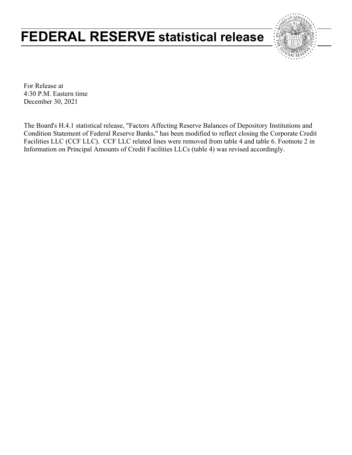# **FEDERAL RESERVE statistical release**



For Release at 4:30 P.M. Eastern time December 30, 2021

The Board's H.4.1 statistical release, "Factors Affecting Reserve Balances of Depository Institutions and Condition Statement of Federal Reserve Banks," has been modified to reflect closing the Corporate Credit Facilities LLC (CCF LLC). CCF LLC related lines were removed from table 4 and table 6. Footnote 2 in Information on Principal Amounts of Credit Facilities LLCs (table 4) was revised accordingly.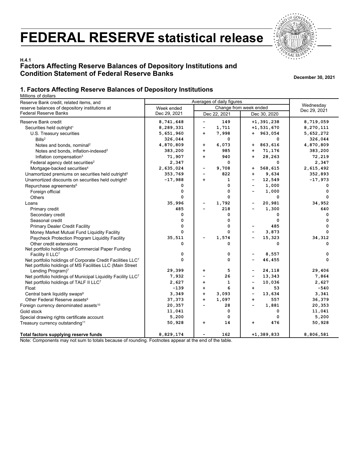# **FEDERAL RESERVE statistical release**



# **H.4.1 Factors Affecting Reserve Balances of Depository Institutions and Condition Statement of Federal Reserve Banks December 30, 2021**

## **1. Factors Affecting Reserve Balances of Depository Institutions**

Millions of dollars

| Reserve Bank credit, related items, and                                                                                | Averages of daily figures |                                |                                    |              |
|------------------------------------------------------------------------------------------------------------------------|---------------------------|--------------------------------|------------------------------------|--------------|
| reserve balances of depository institutions at                                                                         | Week ended                | Change from week ended         | Wednesday                          |              |
| <b>Federal Reserve Banks</b>                                                                                           | Dec 29, 2021              | Dec 22, 2021                   | Dec 30, 2020                       | Dec 29, 2021 |
| Reserve Bank credit                                                                                                    | 8,741,648                 | 149<br>-                       | $+1, 391, 238$                     | 8,719,059    |
| Securities held outright <sup>1</sup>                                                                                  | 8,289,331                 | 1,711<br>-                     | $+1,531,670$                       | 8,270,111    |
| U.S. Treasury securities                                                                                               | 5,651,960                 | 7,998<br>$\ddot{\phantom{1}}$  | $+ 963,054$                        | 5,652,272    |
| Bills <sup>2</sup>                                                                                                     | 326,044                   | 0                              | 0                                  | 326,044      |
| Notes and bonds, nominal <sup>2</sup>                                                                                  | 4,870,809                 | 6,073<br>٠                     | 863,616<br>$\ddot{\phantom{1}}$    | 4,870,809    |
| Notes and bonds, inflation-indexed <sup>2</sup>                                                                        | 383,200                   | 985<br>$\ddot{\phantom{1}}$    | 71,176<br>$\ddot{\phantom{1}}$     | 383,200      |
| Inflation compensation <sup>3</sup>                                                                                    | 71,907                    | 940<br>$\ddot{\phantom{1}}$    | 28,263<br>$\ddot{\phantom{1}}$     | 72,219       |
| Federal agency debt securities <sup>2</sup>                                                                            | 2,347                     | 0                              | 0                                  | 2,347        |
| Mortgage-backed securities <sup>4</sup>                                                                                | 2,635,024                 | 9,708<br>-                     | 568,615<br>$+$                     | 2,615,492    |
| Unamortized premiums on securities held outright <sup>5</sup>                                                          | 353,769                   | 822<br>-                       | 9,634<br>$\ddot{\phantom{1}}$      | 352,893      |
| Unamortized discounts on securities held outright <sup>5</sup>                                                         | $-17,988$                 | 1<br>$\ddot{\phantom{1}}$      | 12,549<br>-                        | $-17,973$    |
| Repurchase agreements <sup>6</sup>                                                                                     | 0                         | 0                              | 1,000<br>$\overline{\phantom{0}}$  | 0            |
| Foreign official                                                                                                       | 0                         | 0                              | 1,000                              | 0            |
| <b>Others</b>                                                                                                          | 0                         | 0                              | 0                                  | 0            |
| Loans                                                                                                                  | 35,996                    | 1,792                          | 20,981                             | 34,952       |
| Primary credit                                                                                                         | 485                       | 218                            | 1,300                              | 640          |
| Secondary credit                                                                                                       | 0                         | 0                              | 0                                  | 0            |
| Seasonal credit                                                                                                        | 0                         | 0                              | 0                                  | 0            |
| <b>Primary Dealer Credit Facility</b>                                                                                  | $\mathbf 0$               | 0                              | 485                                | $\mathbf 0$  |
| Money Market Mutual Fund Liquidity Facility                                                                            | 0                         | 0                              | 3,873                              | 0            |
| Paycheck Protection Program Liquidity Facility                                                                         | 35,511                    | 1,574                          | 15,323                             | 34,312       |
| Other credit extensions                                                                                                | 0                         | 0                              | 0                                  | 0            |
| Net portfolio holdings of Commercial Paper Funding                                                                     |                           |                                |                                    |              |
| Facility II LLC7                                                                                                       | 0                         | 0                              | 8,557                              | 0            |
| Net portfolio holdings of Corporate Credit Facilities LLC7<br>Net portfolio holdings of MS Facilities LLC (Main Street | 0                         | 0                              | 46,455                             | 0            |
| Lending Program) <sup>7</sup>                                                                                          | 29,399                    | 5<br>+                         | 24,118<br>$\overline{\phantom{0}}$ | 29,406       |
| Net portfolio holdings of Municipal Liquidity Facility LLC <sup>7</sup>                                                | 7,932                     | 26<br>$\overline{\phantom{0}}$ | 13,343<br>$\overline{\phantom{0}}$ | 7,864        |
| Net portfolio holdings of TALF II LLC7                                                                                 | 2,627                     | 1<br>$\ddot{\phantom{1}}$      | 10,036<br>$\overline{\phantom{0}}$ | 2,627        |
| Float                                                                                                                  | $-139$                    | 6<br>$\ddot{}$                 | 53<br>$\ddot{\phantom{1}}$         | $-540$       |
| Central bank liquidity swaps <sup>8</sup>                                                                              | 3,349                     | 3,093<br>$\ddot{}$             | 13,634<br>$\overline{\phantom{0}}$ | 3,341        |
| Other Federal Reserve assets <sup>9</sup>                                                                              | 37,373                    | 1,097<br>$\ddot{\phantom{1}}$  | 557<br>$\ddot{\phantom{1}}$        | 36,379       |
| Foreign currency denominated assets <sup>10</sup>                                                                      | 20,357                    | 28<br>÷                        | 1,881<br>÷                         | 20,353       |
| Gold stock                                                                                                             | 11,041                    | 0                              | 0                                  | 11,041       |
| Special drawing rights certificate account                                                                             | 5,200                     | 0                              | 0                                  | 5,200        |
| Treasury currency outstanding <sup>11</sup>                                                                            | 50,928                    | 14<br>$\ddot{\phantom{1}}$     | 476<br>+                           | 50,928       |
| Total factors supplying reserve funds                                                                                  | 8,829,174                 | 162                            | $+1, 389, 833$                     | 8,806,581    |

Note: Components may not sum to totals because of rounding. Footnotes appear at the end of the table.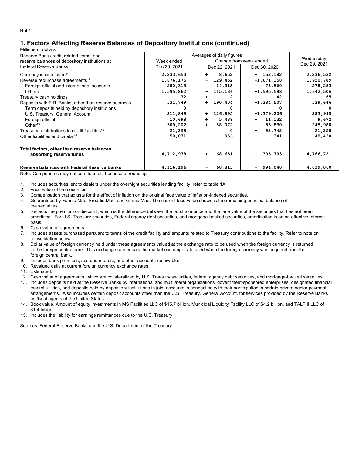# **1. Factors Affecting Reserve Balances of Depository Institutions (continued)**

#### Millions of dollars

| Reserve Bank credit, related items, and                   | Averages of daily figures |                                    |               |              |
|-----------------------------------------------------------|---------------------------|------------------------------------|---------------|--------------|
| reserve balances of depository institutions at            | Week ended                | Change from week ended             | Wednesday     |              |
| Federal Reserve Banks                                     | Dec 29, 2021              | Dec 22, 2021                       | Dec 30, 2020  | Dec 29, 2021 |
| Currency in circulation <sup>11</sup>                     | 2,233,653                 | 8,652<br>$+$                       | $+ 152, 182$  | 2,236,532    |
| Reverse repurchase agreements <sup>12</sup>               | 1,876,175                 | 129,452<br>Ξ.                      | $+1,671,158$  | 1,920,789    |
| Foreign official and international accounts               | 280,313                   | 14,315<br>$\overline{\phantom{a}}$ | $+ 75,560$    | 278,283      |
| <b>Others</b>                                             | 1,595,862                 | 115,136<br>-                       | $+1,595,598$  | 1,642,506    |
| Treasury cash holdings                                    | 72                        | 2<br>$+$                           | 42<br>$+$     | 65           |
| Deposits with F.R. Banks, other than reserve balances     | 531,749                   | 190,404<br>$+$                     | $-1,334,507$  | 539,646      |
| Term deposits held by depository institutions             | 0                         |                                    |               | 0            |
| U.S. Treasury, General Account                            | 211,849                   | 126,895<br>$+$                     | $-1,379,206$  | 283,995      |
| Foreign official                                          | 10,698                    | 5,438<br>$+$                       | 11,132<br>Ξ.  | 9,672        |
| Other <sup>13</sup>                                       | 309,202                   | 58,072<br>$+$                      | 55,830<br>$+$ | 245,980      |
| Treasury contributions to credit facilities <sup>14</sup> | 21,258                    | n                                  | 92,742<br>Ξ.  | 21,258       |
| Other liabilities and capital <sup>15</sup>               | 50,071                    | 956                                | 341           | 48,430       |
| Total factors, other than reserve balances,               |                           |                                    |               |              |
| absorbing reserve funds                                   | 4,712,978                 | 68,651<br>÷                        | $+ 395,793$   | 4,766,721    |
| <b>Reserve balances with Federal Reserve Banks</b>        | 4, 116, 196               | 68,813                             | $+ 994,040$   | 4,039,860    |

Note: Components may not sum to totals because of rounding.

1. Includes securities lent to dealers under the overnight securities lending facility; refer to table 1A.

2. Face value of the securities.

3. Compensation that adjusts for the effect of inflation on the original face value of inflation-indexed securities.

4. Guaranteed by Fannie Mae, Freddie Mac, and Ginnie Mae. The current face value shown is the remaining principal balance of the securities.

5. Reflects the premium or discount, which is the difference between the purchase price and the face value of the securities that has not been amortized. For U.S. Treasury securities, Federal agency debt securities, and mortgage-backed securities, amortization is on an effective-interest basis.

- 6. Cash value of agreements.
- 7. Includes assets purchased pursuant to terms of the credit facility and amounts related to Treasury contributions to the facility. Refer to note on consolidation below.
- 8. Dollar value of foreign currency held under these agreements valued at the exchange rate to be used when the foreign currency is returned to the foreign central bank. This exchange rate equals the market exchange rate used when the foreign currency was acquired from the foreign central bank.
- 9. Includes bank premises, accrued interest, and other accounts receivable.
- 10. Revalued daily at current foreign currency exchange rates.
- 11. Estimated.

12. Cash value of agreements, which are collateralized by U.S. Treasury securities, federal agency debt securities, and mortgage-backed securities

- 13. Includes deposits held at the Reserve Banks by international and multilateral organizations, government-sponsored enterprises, designated financial market utilities, and deposits held by depository institutions in joint accounts in connection with their participation in certain private-sector payment arrangements. Also includes certain deposit accounts other than the U.S. Treasury, General Account, for services provided by the Reserve Banks as fiscal agents of the United States.
- 14. Book value. Amount of equity investments in MS Facilities LLC of \$15.7 billion, Municipal Liquidity Facility LLC of \$4.2 billion, and TALF II LLC of \$1.4 billion.
- 15. Includes the liability for earnings remittances due to the U.S. Treasury.

Sources: Federal Reserve Banks and the U.S. Department of the Treasury.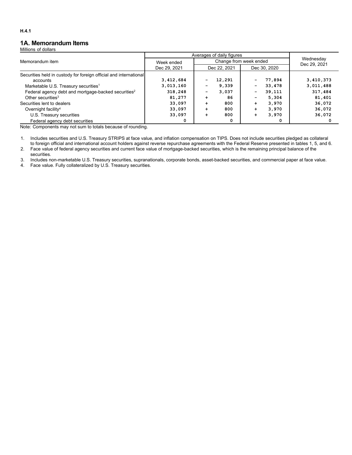## **1A. Memorandum Items**

Millions of dollars

|                                                                   | Averages of daily figures |                                   |                           |           |
|-------------------------------------------------------------------|---------------------------|-----------------------------------|---------------------------|-----------|
| Memorandum item                                                   | Week ended                | Change from week ended            | Wednesday<br>Dec 29, 2021 |           |
|                                                                   | Dec 29, 2021              | Dec 22, 2021                      | Dec 30, 2020              |           |
| Securities held in custody for foreign official and international |                           |                                   |                           |           |
| accounts                                                          | 3,412,684                 | 12,291                            | 77,894                    | 3,410,373 |
| Marketable U.S. Treasury securities <sup>1</sup>                  | 3,013,160                 | 9.339                             | 33,478<br>-               | 3,011,488 |
| Federal agency debt and mortgage-backed securities <sup>2</sup>   | 318,248                   | 3,037<br>$\overline{\phantom{a}}$ | 39,111<br>-               | 317,484   |
| Other securities <sup>3</sup>                                     | 81,277                    | 86<br>$\div$                      | 5,304                     | 81,401    |
| Securities lent to dealers                                        | 33,097                    | 800<br>$\div$                     | 3,970<br>÷                | 36,072    |
| Overnight facility <sup>4</sup>                                   | 33,097                    | 800<br>$\div$                     | 3,970<br>÷                | 36,072    |
| U.S. Treasury securities                                          | 33,097                    | 800<br>٠                          | 3,970                     | 36,072    |
| Federal agency debt securities                                    | 0                         | 0                                 |                           |           |

Note: Components may not sum to totals because of rounding.

1. Includes securities and U.S. Treasury STRIPS at face value, and inflation compensation on TIPS. Does not include securities pledged as collateral to foreign official and international account holders against reverse repurchase agreements with the Federal Reserve presented in tables 1, 5, and 6.

2. Face value of federal agency securities and current face value of mortgage-backed securities, which is the remaining principal balance of the securities.

3. Includes non-marketable U.S. Treasury securities, supranationals, corporate bonds, asset-backed securities, and commercial paper at face value.

4. Face value. Fully collateralized by U.S. Treasury securities.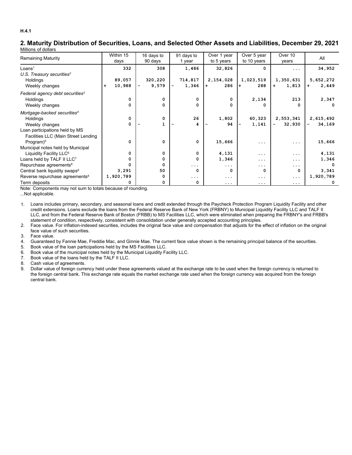### **2. Maturity Distribution of Securities, Loans, and Selected Other Assets and Liabilities, December 29, 2021** Millions of dollars

|                                             | Within 15           | 16 days to   | 91 days to | Over 1 year | Over 5 year | Over 10                            | All          |
|---------------------------------------------|---------------------|--------------|------------|-------------|-------------|------------------------------------|--------------|
| <b>Remaining Maturity</b>                   | days                | 90 days      | 1 year     | to 5 years  | to 10 years | years                              |              |
| Loans <sup>1</sup>                          | 332                 | 308          | 1,486      | 32,826      | 0           | $\cdots$                           | 34,952       |
| U.S. Treasury securities <sup>2</sup>       |                     |              |            |             |             |                                    |              |
| Holdings                                    | 89,057              | 320,220      | 714,817    | 2,154,028   | 1,023,519   | 1,350,631                          | 5,652,272    |
| Weekly changes                              | 10,988<br>$\ddot{}$ | 9,579<br>-   | 1,346      | 286<br>$+$  | 288<br>$+$  | 1,813<br>$\ddot{}$                 | 2,449<br>$+$ |
| Federal agency debt securities <sup>3</sup> |                     |              |            |             |             |                                    |              |
| <b>Holdings</b>                             | 0                   | $\Omega$     | 0          | $\Omega$    | 2,134       | 213                                | 2,347        |
| Weekly changes                              | 0                   | 0            | 0          | 0           | 0           | 0                                  |              |
| Mortgage-backed securities <sup>4</sup>     |                     |              |            |             |             |                                    |              |
| Holdings                                    | $\mathbf 0$         | 0            | 26         | 1,802       | 60,323      | 2,553,341                          | 2,615,492    |
| Weekly changes                              | 0                   |              | 4          | 94          | 1,141       | 32,930<br>$\overline{\phantom{0}}$ | 34,169<br>Ξ. |
| Loan participations held by MS              |                     |              |            |             |             |                                    |              |
| Facilities LLC (Main Street Lending         |                     |              |            |             |             |                                    |              |
| Program) <sup>5</sup>                       | $\Omega$            | $\Omega$     | $\Omega$   | 15,666      | .           | .                                  | 15,666       |
| Municipal notes held by Municipal           |                     |              |            |             |             |                                    |              |
| Liquidity Facility LLC <sup>6</sup>         | 0                   | 0            | 0          | 4,131       | .           | .                                  | 4,131        |
| Loans held by TALF II LLC7                  | 0                   | <sup>0</sup> | $\Omega$   | 1,346       | .           | .                                  | 1,346        |
| Repurchase agreements <sup>8</sup>          | 0                   |              | $\cdots$   | $\cdots$    | .           | .                                  |              |
| Central bank liquidity swaps <sup>9</sup>   | 3,291               | 50           | $\Omega$   | $\Omega$    | 0           | 0                                  | 3,341        |
| Reverse repurchase agreements <sup>8</sup>  | 1,920,789           |              | .          | $\cdots$    | $\cdots$    | $\cdots$                           | 1,920,789    |
| Term deposits                               |                     |              | 0          | .           | $\cdots$    | $\cdots$                           |              |

Note: Components may not sum to totals because of rounding.

...Not applicable.

1. Loans includes primary, secondary, and seasonal loans and credit extended through the Paycheck Protection Program Liquidity Facility and other credit extensions. Loans exclude the loans from the Federal Reserve Bank of New York (FRBNY) to Municipal Liquidity Facility LLC and TALF II LLC, and from the Federal Reserve Bank of Boston (FRBB) to MS Facilities LLC, which were eliminated when preparing the FRBNY's and FRBB's statement of condition, respectively, consistent with consolidation under generally accepted accounting principles.

2. Face value. For inflation-indexed securities, includes the original face value and compensation that adjusts for the effect of inflation on the original face value of such securities.

3. Face value.

- 4. Guaranteed by Fannie Mae, Freddie Mac, and Ginnie Mae. The current face value shown is the remaining principal balance of the securities.
- 5. Book value of the loan participations held by the MS Facilities LLC.
- 6. Book value of the municipal notes held by the Municipal Liquidity Facility LLC.
- 7. Book value of the loans held by the TALF II LLC.

8. Cash value of agreements.

9. Dollar value of foreign currency held under these agreements valued at the exchange rate to be used when the foreign currency is returned to the foreign central bank. This exchange rate equals the market exchange rate used when the foreign currency was acquired from the foreign central bank.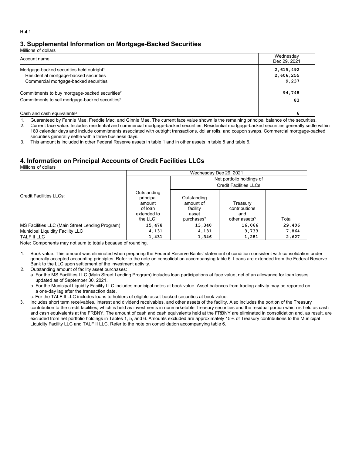# **3. Supplemental Information on Mortgage-Backed Securities**

Millions of dollars

| Account name                                                | Wednesday<br>Dec 29, 2021 |
|-------------------------------------------------------------|---------------------------|
| Mortgage-backed securities held outright <sup>1</sup>       | 2,615,492                 |
| Residential mortgage-backed securities                      | 2,606,255                 |
| Commercial mortgage-backed securities                       | 9,237                     |
| Commitments to buy mortgage-backed securities <sup>2</sup>  | 94,748                    |
| Commitments to sell mortgage-backed securities <sup>2</sup> | 83                        |
| Cash and cash equivalents $3$                               | 6                         |

1. Guaranteed by Fannie Mae, Freddie Mac, and Ginnie Mae. The current face value shown is the remaining principal balance of the securities.

2. Current face value. Includes residential and commercial mortgage-backed securities. Residential mortgage-backed securities generally settle within 180 calendar days and include commitments associated with outright transactions, dollar rolls, and coupon swaps. Commercial mortgage-backed securities generally settle within three business days.

3. This amount is included in other Federal Reserve assets in table 1 and in other assets in table 5 and table 6.

# **4. Information on Principal Accounts of Credit Facilities LLCs**

Millions of dollars

|                                                 | Wednesday Dec 29, 2021                                                     |                                                                         |                                                               |        |  |  |  |  |  |  |
|-------------------------------------------------|----------------------------------------------------------------------------|-------------------------------------------------------------------------|---------------------------------------------------------------|--------|--|--|--|--|--|--|
|                                                 |                                                                            | Net portfolio holdings of                                               |                                                               |        |  |  |  |  |  |  |
|                                                 |                                                                            |                                                                         | <b>Credit Facilities LLCs</b>                                 |        |  |  |  |  |  |  |
| Credit Facilities LLCs:                         | Outstanding<br>principal<br>amount<br>of loan<br>extended to<br>the $LLC1$ | Outstanding<br>amount of<br>facility<br>asset<br>purehases <sup>2</sup> | Treasury<br>contributions<br>and<br>other assets <sup>3</sup> | Total  |  |  |  |  |  |  |
| MS Facilities LLC (Main Street Lending Program) | 15,478                                                                     | 13,340                                                                  | 16,066                                                        | 29,406 |  |  |  |  |  |  |
| Municipal Liquidity Facility LLC                | 4,131                                                                      | 4,131                                                                   | 3,733                                                         | 7,864  |  |  |  |  |  |  |
| TALF II LLC                                     | 1,431                                                                      | 1,346                                                                   | 1,281                                                         | 2,627  |  |  |  |  |  |  |

Note: Components may not sum to totals because of rounding.

1. Book value. This amount was eliminated when preparing the Federal Reserve Banks' statement of condition consistent with consolidation under generally accepted accounting principles. Refer to the note on consolidation accompanying table 6. Loans are extended from the Federal Reserve Bank to the LLC upon settlement of the investment activity.

2. Outstanding amount of facility asset purchases:

a. For the MS Facilities LLC (Main Street Lending Program) includes loan participations at face value, net of an allowance for loan losses updated as of September 30, 2021.

b. For the Municipal Liquidity Facility LLC includes municipal notes at book value. Asset balances from trading activity may be reported on a one-day lag after the transaction date.

c. For the TALF II LLC includes loans to holders of eligible asset-backed securities at book value.

3. Includes short term receivables, interest and dividend receivables, and other assets of the facility. Also includes the portion of the Treasury contribution to the credit facilities, which is held as investments in nonmarketable Treasury securities and the residual portion which is held as cash and cash equivalents at the FRBNY. The amount of cash and cash equivalents held at the FRBNY are eliminated in consolidation and, as result, are excluded from net portfolio holdings in Tables 1, 5, and 6. Amounts excluded are approximately 15% of Treasury contributions to the Municipal Liquidity Facility LLC and TALF II LLC. Refer to the note on consolidation accompanying table 6.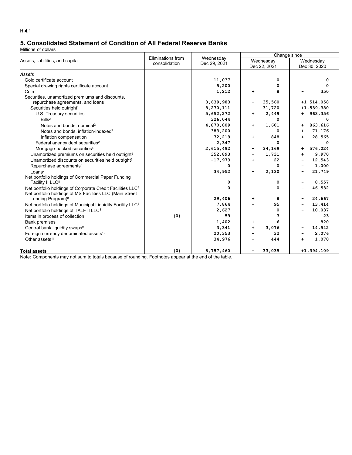# **5. Consolidated Statement of Condition of All Federal Reserve Banks**

Millions of dollars

|                                                                         | Eliminations from | Wednesday    |                              | Change since |                              |                |  |  |  |
|-------------------------------------------------------------------------|-------------------|--------------|------------------------------|--------------|------------------------------|----------------|--|--|--|
| Assets, liabilities, and capital                                        | consolidation     | Dec 29, 2021 |                              | Wednesday    | Wednesday                    |                |  |  |  |
|                                                                         |                   |              |                              | Dec 22, 2021 |                              | Dec 30, 2020   |  |  |  |
| Assets                                                                  |                   |              |                              |              |                              |                |  |  |  |
| Gold certificate account                                                |                   | 11,037       |                              | 0            |                              | 0              |  |  |  |
| Special drawing rights certificate account                              |                   | 5,200        |                              | 0            |                              | $\mathbf 0$    |  |  |  |
| Coin                                                                    |                   | 1,212        | $\ddot{}$                    | 8            |                              | 350            |  |  |  |
| Securities, unamortized premiums and discounts,                         |                   |              |                              |              |                              |                |  |  |  |
| repurchase agreements, and loans                                        |                   | 8,639,983    | $\overline{\phantom{a}}$     | 35,560       |                              | $+1, 514, 058$ |  |  |  |
| Securities held outright <sup>1</sup>                                   |                   | 8,270,111    |                              | 31,720       |                              | $+1,539,380$   |  |  |  |
| U.S. Treasury securities                                                |                   | 5,652,272    | $+$                          | 2,449        |                              | $+ 963,356$    |  |  |  |
| Bills <sup>2</sup>                                                      |                   | 326,044      |                              | 0            |                              | 0              |  |  |  |
| Notes and bonds, nominal <sup>2</sup>                                   |                   | 4,870,809    | $+$                          | 1,601        | $\ddot{}$                    | 863,616        |  |  |  |
| Notes and bonds, inflation-indexed <sup>2</sup>                         |                   | 383,200      |                              | 0            | $+$                          | 71,176         |  |  |  |
| Inflation compensation <sup>3</sup>                                     |                   | 72,219       | $+$                          | 848          | +                            | 28,565         |  |  |  |
| Federal agency debt securities <sup>2</sup>                             |                   | 2,347        |                              | 0            |                              | 0              |  |  |  |
| Mortgage-backed securities <sup>4</sup>                                 |                   | 2,615,492    | $\qquad \qquad \blacksquare$ | 34,169       | +                            | 576,024        |  |  |  |
| Unamortized premiums on securities held outright <sup>5</sup>           |                   | 352,893      |                              | 1,731        | $+$                          | 9,970          |  |  |  |
| Unamortized discounts on securities held outright <sup>5</sup>          |                   | $-17,973$    | $+$                          | 22           | -                            | 12,543         |  |  |  |
| Repurchase agreements <sup>6</sup>                                      |                   | 0            |                              | 0            |                              | 1,000          |  |  |  |
| Loans <sup>7</sup>                                                      |                   | 34,952       |                              | 2,130        |                              | 21,749         |  |  |  |
| Net portfolio holdings of Commercial Paper Funding                      |                   |              |                              |              |                              |                |  |  |  |
| Facility II LLC <sup>8</sup>                                            |                   | 0            |                              | 0            | -                            | 8,557          |  |  |  |
| Net portfolio holdings of Corporate Credit Facilities LLC <sup>8</sup>  |                   | 0            |                              | 0            |                              | 46,532         |  |  |  |
| Net portfolio holdings of MS Facilities LLC (Main Street                |                   |              |                              |              |                              |                |  |  |  |
| Lending Program) <sup>8</sup>                                           |                   | 29,406       | +                            | 8            | -                            | 24,667         |  |  |  |
| Net portfolio holdings of Municipal Liquidity Facility LLC <sup>8</sup> |                   | 7,864        |                              | 95           |                              | 13,414         |  |  |  |
| Net portfolio holdings of TALF II LLC <sup>8</sup>                      |                   | 2,627        |                              | 0            |                              | 10,037         |  |  |  |
| Items in process of collection                                          | (0)               | 59           |                              | 3<br>6       |                              | 23<br>820      |  |  |  |
| <b>Bank premises</b>                                                    |                   | 1,402        | $\ddot{}$                    |              |                              |                |  |  |  |
| Central bank liquidity swaps <sup>9</sup>                               |                   | 3,341        | $\ddot{}$                    | 3,076        | -                            | 14,542         |  |  |  |
| Foreign currency denominated assets <sup>10</sup>                       |                   | 20,353       |                              | 32           | $\qquad \qquad \blacksquare$ | 2,076          |  |  |  |
| Other assets <sup>11</sup>                                              |                   | 34,976       |                              | 444          | $+$                          | 1,070          |  |  |  |
| <b>Total assets</b>                                                     | (0)               | 8,757,460    |                              | 33,035       |                              | $+1, 394, 109$ |  |  |  |

Note: Components may not sum to totals because of rounding. Footnotes appear at the end of the table.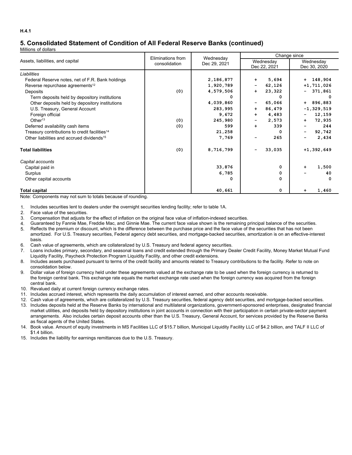# **5. Consolidated Statement of Condition of All Federal Reserve Banks (continued)**

Millions of dollars

|                                                           | Eliminations from | Wednesday    | Change since                          |                           |  |  |  |
|-----------------------------------------------------------|-------------------|--------------|---------------------------------------|---------------------------|--|--|--|
| Assets, liabilities, and capital                          | consolidation     | Dec 29, 2021 | Wednesday<br>Dec 22, 2021             | Wednesday<br>Dec 30, 2020 |  |  |  |
| Liabilities                                               |                   |              |                                       |                           |  |  |  |
| Federal Reserve notes, net of F.R. Bank holdings          |                   | 2,186,877    | 5,694<br>$\ddot{\phantom{1}}$         | $+ 148,904$               |  |  |  |
| Reverse repurchase agreements <sup>12</sup>               |                   | 1,920,789    | 62,126<br>۰.                          | $+1, 711, 026$            |  |  |  |
| Deposits                                                  | (0)               | 4,579,506    | 23,322<br>$\ddot{}$                   | 371,861<br>۰.             |  |  |  |
| Term deposits held by depository institutions             |                   | O            | $\Omega$                              |                           |  |  |  |
| Other deposits held by depository institutions            |                   | 4,039,860    | 65,066<br>۰.                          | 896,883<br>$+$            |  |  |  |
| U.S. Treasury, General Account                            |                   | 283,995      | 86,479<br>$\ddot{}$                   | $-1,329,519$              |  |  |  |
| Foreign official                                          |                   | 9,672        | 4,483<br>$\ddot{}$                    | 12,159                    |  |  |  |
| Other <sup>13</sup>                                       | (0)               | 245,980      | 2,573<br>$\qquad \qquad \blacksquare$ | 72,935<br>$+$             |  |  |  |
| Deferred availability cash items                          | (0)               | 599          | 339<br>$+$                            | 244                       |  |  |  |
| Treasury contributions to credit facilities <sup>14</sup> |                   | 21,258       | 0                                     | 92,742<br>-               |  |  |  |
| Other liabilities and accrued dividends <sup>15</sup>     |                   | 7,769        | 265                                   | 2,434                     |  |  |  |
| <b>Total liabilities</b>                                  | (0)               | 8,716,799    | 33,035<br>$\overline{\phantom{a}}$    | $+1,392,649$              |  |  |  |
| Capital accounts                                          |                   |              |                                       |                           |  |  |  |
| Capital paid in                                           |                   | 33,876       | 0                                     | 1,500<br>$\ddot{}$        |  |  |  |
| Surplus                                                   |                   | 6,785        | 0                                     | 40                        |  |  |  |
| Other capital accounts                                    |                   | 0            | 0                                     | $\Omega$                  |  |  |  |
| <b>Total capital</b>                                      |                   | 40,661       | 0                                     | 1,460                     |  |  |  |

Note: Components may not sum to totals because of rounding.

1. Includes securities lent to dealers under the overnight securities lending facility; refer to table 1A.

- 2. Face value of the securities.
- 3. Compensation that adjusts for the effect of inflation on the original face value of inflation-indexed securities.
- 4. Guaranteed by Fannie Mae, Freddie Mac, and Ginnie Mae. The current face value shown is the remaining principal balance of the securities.
- 5. Reflects the premium or discount, which is the difference between the purchase price and the face value of the securities that has not been amortized. For U.S. Treasury securities, Federal agency debt securities, and mortgage-backed securities, amortization is on an effective-interest basis.
- 6. Cash value of agreements, which are collateralized by U.S. Treasury and federal agency securities.
- 7. Loans includes primary, secondary, and seasonal loans and credit extended through the Primary Dealer Credit Facility, Money Market Mutual Fund Liquidity Facility, Paycheck Protection Program Liquidity Facility, and other credit extensions.
- 8. Includes assets purchased pursuant to terms of the credit facility and amounts related to Treasury contributions to the facility. Refer to note on consolidation below.
- 9. Dollar value of foreign currency held under these agreements valued at the exchange rate to be used when the foreign currency is returned to the foreign central bank. This exchange rate equals the market exchange rate used when the foreign currency was acquired from the foreign central bank.
- 10. Revalued daily at current foreign currency exchange rates.
- 11. Includes accrued interest, which represents the daily accumulation of interest earned, and other accounts receivable.
- 12. Cash value of agreements, which are collateralized by U.S. Treasury securities, federal agency debt securities, and mortgage-backed securities.
- 13. Includes deposits held at the Reserve Banks by international and multilateral organizations, government-sponsored enterprises, designated financial market utilities, and deposits held by depository institutions in joint accounts in connection with their participation in certain private-sector payment arrangements. Also includes certain deposit accounts other than the U.S. Treasury, General Account, for services provided by the Reserve Banks as fiscal agents of the United States.
- 14. Book value. Amount of equity investments in MS Facilities LLC of \$15.7 billion, Municipal Liquidity Facility LLC of \$4.2 billion, and TALF II LLC of \$1.4 billion.
- 15. Includes the liability for earnings remittances due to the U.S. Treasury.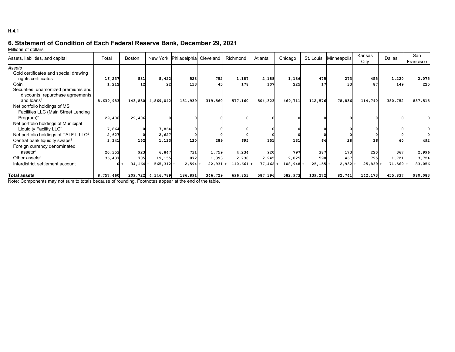# **6. Statement of Condition of Each Federal Reserve Bank, December 29, 2021**

Millions of dollars

| Assets, liabilities, and capital                   | Total     | Boston     | New York     | Philadelphia Cleveland |         | Richmond                | Atlanta    | Chicago     | St. Louis  | Minneapolis | Kansas<br>City | Dallas    | San<br>Francisco |
|----------------------------------------------------|-----------|------------|--------------|------------------------|---------|-------------------------|------------|-------------|------------|-------------|----------------|-----------|------------------|
| Assets                                             |           |            |              |                        |         |                         |            |             |            |             |                |           |                  |
| Gold certificates and special drawing              |           |            |              |                        |         |                         |            |             |            |             |                |           |                  |
| rights certificates                                | 16,237    | 531        | 5,422        | 523                    | 752     | 1,187                   | 2,188      | 1,136       | 475        | 273         | 455            | 1,220     | 2,075            |
| Coin                                               | 1,212     | 12         | 22           | 113                    | 45      | 178                     | 107        | 225         | 17         | 33          | 87             | 149       | 225              |
| Securities, unamortized premiums and               |           |            |              |                        |         |                         |            |             |            |             |                |           |                  |
| discounts, repurchase agreements,                  |           |            |              |                        |         |                         |            |             |            |             |                |           |                  |
| and loans <sup>1</sup>                             | 8,639,983 | 143,830    | 4,869,042    | 181,939                | 319,560 | 577,160                 | 504,323    | 469,711     | 112,576    | 78,836      | 114,740        | 380,752   | 887,515          |
| Net portfolio holdings of MS                       |           |            |              |                        |         |                         |            |             |            |             |                |           |                  |
| Facilities LLC (Main Street Lending                |           |            |              |                        |         |                         |            |             |            |             |                |           |                  |
| Program $)^2$                                      | 29,406    | 29,406     |              |                        |         |                         |            |             |            |             |                |           |                  |
| Net portfolio holdings of Municipal                |           |            |              |                        |         |                         |            |             |            |             |                |           |                  |
| Liquidity Facility LLC <sup>2</sup>                | 7,864     |            | 7,864        |                        |         |                         |            |             |            |             |                |           |                  |
| Net portfolio holdings of TALF II LLC <sup>2</sup> | 2,627     |            | 2,627        |                        |         |                         |            |             |            |             |                |           |                  |
| Central bank liquidity swaps <sup>3</sup>          | 3,341     | 152        | 1,123        | 120                    | 289     | 695                     | 151        | 131         | 64         | 28          |                | 60        | 492              |
| Foreign currency denominated                       |           |            |              |                        |         |                         |            |             |            |             |                |           |                  |
| assets <sup>4</sup>                                | 20,353    | 923        | 6,847        | 731                    | 1,759   | 4,234                   | 920        | 797         | 387        | 173         | 220            | 367       | 2,996            |
| Other assets <sup>5</sup>                          | 36,437    | 705        | 19,155       | 872                    | 1,393   | 2,738                   | 2,245      | 2,025       | 598        | 467         | 795            | 1,721     | 3,724            |
| Interdistrict settlement account                   |           | $34,164$ - | $565, 312$ + | $2,594+$               | 22,931  | $110,661+$<br>$\ddot{}$ | $77,462 +$ | $108,948$ + | $25,155$ + | $2,932 +$   | 25,839         | $71,569+$ | 83,056           |
| <b>Total assets</b>                                | 8,757,460 | 209,722    | 4,346,789    | 186,891                | 346,729 | 696,853                 | 587,396    | 582,973     | 139,272    | 82,741      | 142,173        | 455,837   | 980,083          |

Note: Components may not sum to totals because of rounding. Footnotes appear at the end of the table.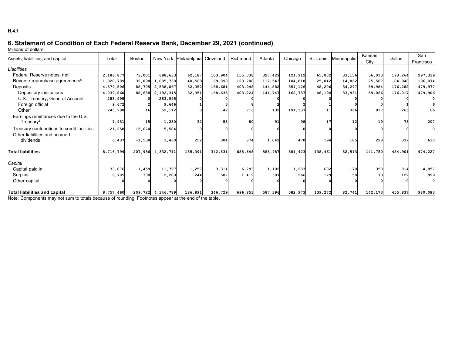# **6. Statement of Condition of Each Federal Reserve Bank, December 29, 2021 (continued)**

Millions of dollars

| Assets, liabilities, and capital                         | Total     | <b>Boston</b> |                      | New York Philadelphial Cleveland |         | Richmond   | Atlanta | Chicago | St. Louis | Minneapolis | Kansas  | <b>Dallas</b> | San         |
|----------------------------------------------------------|-----------|---------------|----------------------|----------------------------------|---------|------------|---------|---------|-----------|-------------|---------|---------------|-------------|
|                                                          |           |               |                      |                                  |         |            |         |         |           |             | City    |               | Francisco   |
| Liabilities                                              |           |               |                      |                                  |         |            |         |         |           |             |         |               |             |
| Federal Reserve notes, net                               | 2,186,877 | 73,001        | 698,633              | 62,187                           | 103,904 | 155,038    | 327,429 | 121,912 | 65,002    | 33,156      | 56,013  | 193,264       | 297,339     |
| Reverse repurchase agreements <sup>6</sup>               | 1,920,789 | 32,098        | 1,085,738            | 40,569                           | 69,890  | 128,708    | 112,543 | 104,818 | 25,042    | 14,862      | 25,507  | 84,940        | 196,074     |
| Deposits                                                 | 4,579,506 | 88,705        | 2,538,067            | 82,352                           | 168,681 | 403,948    | 144,882 | 354,126 | 48,206    | 34,297      | 59,984  | 176,282       | 479,977     |
| Depository institutions                                  | 4,039,860 |               | 88,688 2,192,315     | 82,351                           | 168,635 | 403,224    | 144,747 | 162,787 | 48,194    | 33,931      | 59,066  | 176,017       | 479,906     |
| U.S. Treasury, General Account                           | 283,995   |               | 283,995              |                                  |         |            |         |         |           |             |         |               |             |
| Foreign official                                         | 9,672     |               | 9,646                |                                  |         |            |         |         |           |             |         |               |             |
| Other $7$                                                | 245,980   | 16            | 52,112               |                                  |         | <b>716</b> | 132     | 191,337 | 11        | 366         | 917     | 265           | 66          |
| Earnings remittances due to the U.S.                     |           |               |                      |                                  |         |            |         |         |           |             |         |               |             |
| Treasury <sup>8</sup>                                    | 1,931     | 15            | 1,230                | 32                               | 53      | 80         | 91      | 98      | 17        | 12          | 19      | <b>78</b>     | 207         |
| Treasury contributions to credit facilities <sup>9</sup> | 21,258    | 15,674        | 5,584                |                                  |         |            |         |         |           |             |         |               | $\mathbf 0$ |
| Other liabilities and accrued                            |           |               |                      |                                  |         |            |         |         |           |             |         |               |             |
| dividends                                                | 6,437     | $-1,538$      | 3,460                | 252                              | 304     | 874        | 1,042   | 470     | 194       | 185         | 228     | 337           | 630         |
|                                                          |           |               |                      |                                  |         |            |         |         |           |             |         |               |             |
| <b>Total liabilities</b>                                 | 8,716,799 | 207,956       | 4,332,711            | 185,391                          | 342,831 | 688,648    | 585,987 | 581,423 | 138,461   | 82,513      | 141,750 | 454,901       | 974,227     |
|                                                          |           |               |                      |                                  |         |            |         |         |           |             |         |               |             |
| Capital                                                  |           |               |                      |                                  |         |            |         |         |           |             |         |               |             |
| Capital paid in                                          | 33,876    | 1,459         | 11,797               | 1,257                            | 3,311   | 6,793      | 1,102   | 1,283   | 682       | 170         | 350     | 814           | 4,857       |
| Surplus                                                  | 6,785     | 308           | 2,280                | 244                              | 587     | 1,412      | 307     | 266     | 129       | 58          | 73      | 122           | 999         |
| Other capital                                            |           |               |                      |                                  |         |            |         |         |           |             |         |               | $\Omega$    |
| <b>Total liabilities and capital</b>                     | 8,757,460 |               | 209, 722 4, 346, 789 | 186,891                          | 346,729 | 696,853    | 587,396 | 582,973 | 139,272   | 82,741      | 142,173 | 455,837       | 980,083     |

Note: Components may not sum to totals because of rounding. Footnotes appear at the end of the table.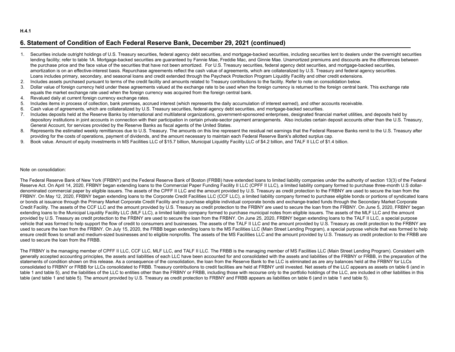#### **H.4.1**

## **6. Statement of Condition of Each Federal Reserve Bank, December 29, 2021 (continued)**

- 1. Securities include outright holdings of U.S. Treasury securities, federal agency debt securities, and mortgage-backed securities, including securities lent to dealers under the overnight securities lending facility; refer to table 1A. Mortgage-backed securities are quaranteed by Fannie Mae, Freddie Mac, and Ginnie Mae. Unamortized premiums and discounts are the differences between the purchase price and the face value of the securities that have not been amortized. For U.S. Treasury securities, federal agency debt securities, and mortgage-backed securities, amortization is on an effective-interest basis. Repurchase agreements reflect the cash value of agreements, which are collateralized by U.S. Treasury and federal agency securities. Loans includes primary, secondary, and seasonal loans and credit extended through the Paycheck Protection Program Liquidity Facility and other credit extensions.
- 2. Includes assets purchased pursuant to terms of the credit facility and amounts related to Treasury contributions to the facility. Refer to note on consolidation below.
- 3. Dollar value of foreign currency held under these agreements valued at the exchange rate to be used when the foreign currency is returned to the foreign central bank. This exchange rate equals the market exchange rate used when the foreign currency was acquired from the foreign central bank.
- 4. Revalued daily at current foreign currency exchange rates.
- 5. Includes items in process of collection, bank premises, accrued interest (which represents the daily accumulation of interest earned), and other accounts receivable.
- 6. Cash value of agreements, which are collateralized by U.S. Treasury securities, federal agency debt securities, and mortgage-backed securities.
- 7. Includes deposits held at the Reserve Banks by international and multilateral organizations, government-sponsored enterprises, designated financial market utilities, and deposits held by depository institutions in joint accounts in connection with their participation in certain private-sector payment arrangements. Also includes certain deposit accounts other than the U.S. Treasury, General Account, for services provided by the Reserve Banks as fiscal agents of the United States.
- 8. Represents the estimated weekly remittances due to U.S. Treasury. The amounts on this line represent the residual net earnings that the Federal Reserve Banks remit to the U.S. Treasury after providing for the costs of operations, payment of dividends, and the amount necessary to maintain each Federal Reserve Bank's allotted surplus cap.
- 9. Book value. Amount of equity investments in MS Facilities LLC of \$15.7 billion, Municipal Liquidity Facility LLC of \$4.2 billion, and TALF II LLC of \$1.4 billion.

#### Note on consolidation:

The Federal Reserve Bank of New York (FRBNY) and the Federal Reserve Bank of Boston (FRBB) have extended loans to limited liability companies under the authority of section 13(3) of the Federal Reserve Act. On April 14, 2020, FRBNY began extending loans to the Commercial Paper Funding Facility II LLC (CPFF II LLC), a limited liability company formed to purchase three-month U.S dollardenominated commercial paper by eligible issuers. The assets of the CPFF II LLC and the amount provided by U.S. Treasury as credit protection to the FRBNY are used to secure the loan from the FRBNY. On May 12, 2020, FRBNY began extending loans to the Corporate Credit Facilities LLC (CCF LLC), a limited liability company formed to purchase eligible bonds or portions of syndicated loans or bonds at issuance through the Primary Market Corporate Credit Facility and to purchase eligible individual corporate bonds and exchange-traded funds through the Secondary Market Corporate Credit Facility. The assets of the CCF LLC and the amount provided by U.S. Treasury as credit protection to the FRBNY are used to secure the loan from the FRBNY. On June 5, 2020, FRBNY began extending loans to the Municipal Liquidity Facility LLC (MLF LLC), a limited liability company formed to purchase municipal notes from eligible issuers. The assets of the MLF LLC and the amount provided by U.S. Treasury as credit protection to the FRBNY are used to secure the loan from the FRBNY. On June 25, 2020, FRBNY began extending loans to the TALF II LLC, a special purpose vehicle that was formed to help support the flow of credit to consumers and businesses. The assets of the TALF II LLC and the amount provided by U.S. Treasury as credit protection to the FRBNY are used to secure the loan from the FRBNY. On July 15, 2020, the FRBB began extending loans to the MS Facilities LLC (Main Street Lending Program), a special purpose vehicle that was formed to help ensure credit flows to small and medium-sized businesses and to eligible nonprofits. The assets of the MS Facilities LLC and the amount provided by U.S. Treasury as credit protection to the FRBB are used to secure the loan from the FRBB.

The FRBNY is the managing member of CPFF II LLC, CCF LLC, MLF LLC, and TALF II LLC. The FRBB is the managing member of MS Facilities LLC (Main Street Lending Program). Consistent with generally accepted accounting principles, the assets and liabilities of each LLC have been accounted for and consolidated with the assets and liabilities of the FRBNY or FRBB, in the preparation of the statements of condition shown on this release. As a consequence of the consolidation, the loan from the Reserve Bank to the LLC is eliminated as are any balances held at the FRBNY for LLCs consolidated to FRBNY or FRBB for LLCs consolidated to FRBB. Treasury contributions to credit facilities are held at FRBNY until invested. Net assets of the LLC appears as assets on table 6 (and in table 1 and table 5), and the liabilities of the LLC to entities other than the FRBNY or FRBB, including those with recourse only to the portfolio holdings of the LLC, are included in other liabilities in this table (and table 1 and table 5). The amount provided by U.S. Treasury as credit protection to FRBNY and FRBB appears as liabilities on table 6 (and in table 1 and table 5).